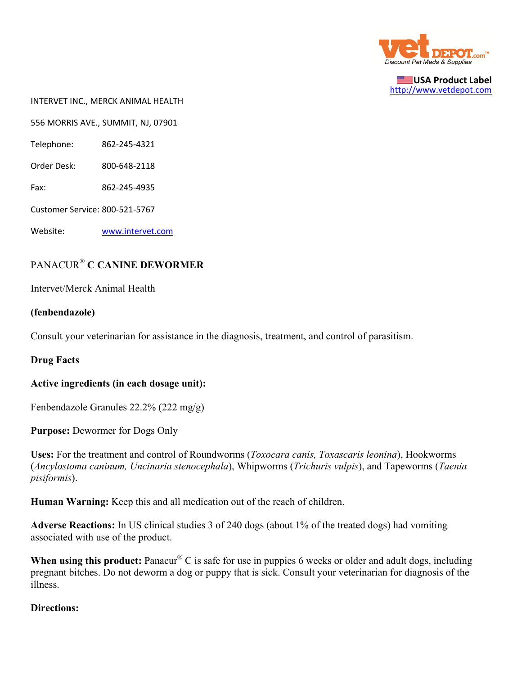

**USA Product Label** http://www.vetdepot.com

INTERVET INC., MERCK ANIMAL HEALTH

556 MORRIS AVE., SUMMIT, NJ, 07901

Telephone: 862‐245‐4321

Order Desk: 800‐648‐2118

Fax: 862‐245‐4935

Customer Service: 800‐521‐5767

Website: www.intervet.com

# PANACUR® **C CANINE DEWORMER**

Intervet/Merck Animal Health

#### **(fenbendazole)**

Consult your veterinarian for assistance in the diagnosis, treatment, and control of parasitism.

### **Drug Facts**

#### **Active ingredients (in each dosage unit):**

Fenbendazole Granules 22.2% (222 mg/g)

**Purpose: Dewormer for Dogs Only** 

**Uses:** For the treatment and control of Roundworms (*Toxocara canis, Toxascaris leonina*), Hookworms (*Ancylostoma caninum, Uncinaria stenocephala*), Whipworms (*Trichuris vulpis*), and Tapeworms (*Taenia pisiformis*).

**Human Warning:** Keep this and all medication out of the reach of children.

**Adverse Reactions:** In US clinical studies 3 of 240 dogs (about 1% of the treated dogs) had vomiting associated with use of the product.

When using this product: Panacur<sup>®</sup> C is safe for use in puppies 6 weeks or older and adult dogs, including pregnant bitches. Do not deworm a dog or puppy that is sick. Consult your veterinarian for diagnosis of the illness.

### **Directions:**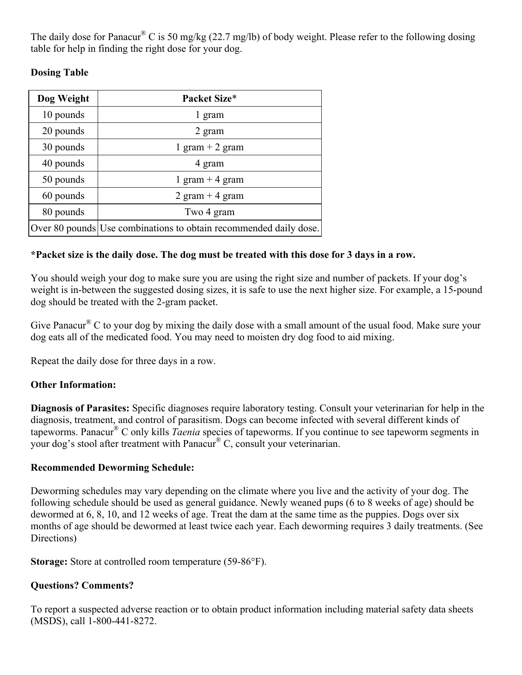The daily dose for Panacur<sup>®</sup> C is 50 mg/kg (22.7 mg/lb) of body weight. Please refer to the following dosing table for help in finding the right dose for your dog.

# **Dosing Table**

| Dog Weight | Packet Size*                                                      |  |
|------------|-------------------------------------------------------------------|--|
| 10 pounds  | 1 gram                                                            |  |
| 20 pounds  | 2 gram                                                            |  |
| 30 pounds  | 1 gram $+$ 2 gram                                                 |  |
| 40 pounds  | 4 gram                                                            |  |
| 50 pounds  | 1 gram $+$ 4 gram                                                 |  |
| 60 pounds  | 2 gram $+$ 4 gram                                                 |  |
| 80 pounds  | Two 4 gram                                                        |  |
|            | Over 80 pounds Use combinations to obtain recommended daily dose. |  |

### **\*Packet size is the daily dose. The dog must be treated with this dose for 3 days in a row.**

You should weigh your dog to make sure you are using the right size and number of packets. If your dog's weight is in-between the suggested dosing sizes, it is safe to use the next higher size. For example, a 15-pound dog should be treated with the 2-gram packet.

Give Panacur<sup>®</sup> C to your dog by mixing the daily dose with a small amount of the usual food. Make sure your dog eats all of the medicated food. You may need to moisten dry dog food to aid mixing.

Repeat the daily dose for three days in a row.

# **Other Information:**

**Diagnosis of Parasites:** Specific diagnoses require laboratory testing. Consult your veterinarian for help in the diagnosis, treatment, and control of parasitism. Dogs can become infected with several different kinds of tapeworms. Panacur® C only kills *Taenia* species of tapeworms. If you continue to see tapeworm segments in your dog's stool after treatment with Panacur® C, consult your veterinarian.

### **Recommended Deworming Schedule:**

Deworming schedules may vary depending on the climate where you live and the activity of your dog. The following schedule should be used as general guidance. Newly weaned pups (6 to 8 weeks of age) should be dewormed at 6, 8, 10, and 12 weeks of age. Treat the dam at the same time as the puppies. Dogs over six months of age should be dewormed at least twice each year. Each deworming requires 3 daily treatments. (See Directions)

**Storage:** Store at controlled room temperature (59-86°F).

### **Questions? Comments?**

To report a suspected adverse reaction or to obtain product information including material safety data sheets (MSDS), call 1-800-441-8272.